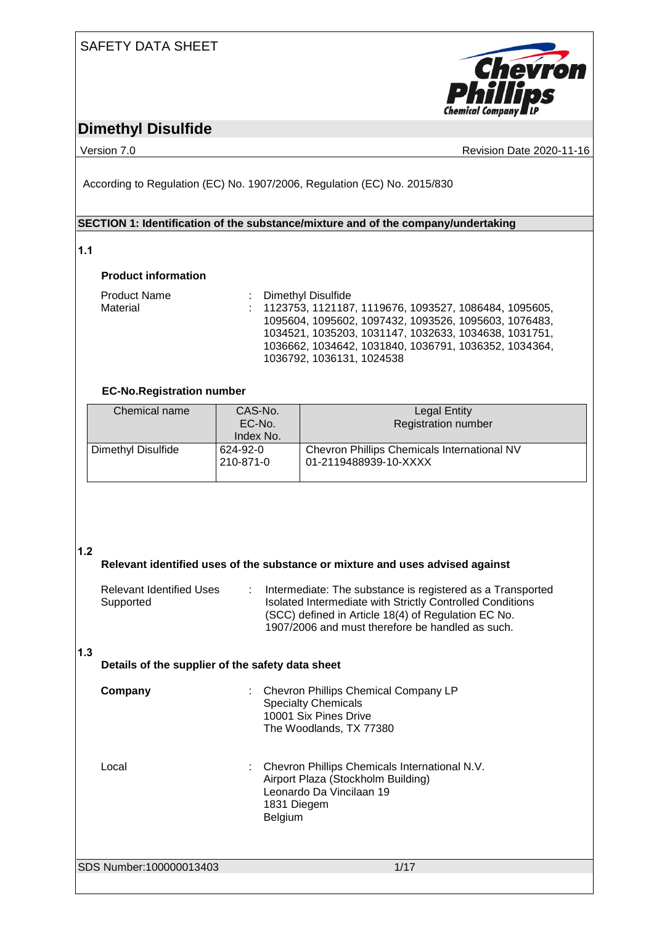## SAFETY DATA SHEET



## **Dimethyl Disulfide**

Version 7.0 **CONFIDENTIAL CONTRACT CONTRACT CONTRACT CONTRACT CONTRACT CONTRACT CONTRACT CONTRACT CONTRACT CONTRACT CONTRACT CONTRACT CONTRACT CONTRACT CONTRACT CONTRACT CONTRACT CONTRACT CONTRACT CONTRACT CONTRACT CONTRAC** 

According to Regulation (EC) No. 1907/2006, Regulation (EC) No. 2015/830

### **SECTION 1: Identification of the substance/mixture and of the company/undertaking**

### **1.1**

### **Product information**

| <b>Product Name</b> | : Dimethyl Disulfide                                      |
|---------------------|-----------------------------------------------------------|
| Material            | $: 1123753, 1121187, 1119676, 1093527, 1086484, 1095605,$ |
|                     | 1095604, 1095602, 1097432, 1093526, 1095603, 1076483,     |
|                     | 1034521, 1035203, 1031147, 1032633, 1034638, 1031751,     |
|                     | 1036662, 1034642, 1031840, 1036791, 1036352, 1034364,     |
|                     | 1036792, 1036131, 1024538                                 |

### **EC-No.Registration number**

| Chemical name      | CAS-No.<br>EC-No.     | Legal Entity<br><b>Registration number</b>                           |
|--------------------|-----------------------|----------------------------------------------------------------------|
|                    | Index No.             |                                                                      |
| Dimethyl Disulfide | 624-92-0<br>210-871-0 | Chevron Phillips Chemicals International NV<br>01-2119488939-10-XXXX |

### **1.2**

**Relevant identified uses of the substance or mixture and uses advised against** Relevant Identified Uses : Intermediate: The substance is registered as a Transported

| REJEVANI JUENINJEU USES | Tritemediate. The substance is registered as a Transported |
|-------------------------|------------------------------------------------------------|
| Supported               | Isolated Intermediate with Strictly Controlled Conditions  |
|                         | (SCC) defined in Article 18(4) of Regulation EC No.        |
|                         | 1907/2006 and must therefore be handled as such.           |
|                         |                                                            |

### **1.3**

### **Details of the supplier of the safety data sheet**

| Company | : Chevron Phillips Chemical Company LP<br><b>Specialty Chemicals</b><br>10001 Six Pines Drive<br>The Woodlands, TX 77380                    |
|---------|---------------------------------------------------------------------------------------------------------------------------------------------|
| Local   | : Chevron Phillips Chemicals International N.V.<br>Airport Plaza (Stockholm Building)<br>Leonardo Da Vincilaan 19<br>1831 Diegem<br>Belgium |

SDS Number:100000013403 1/17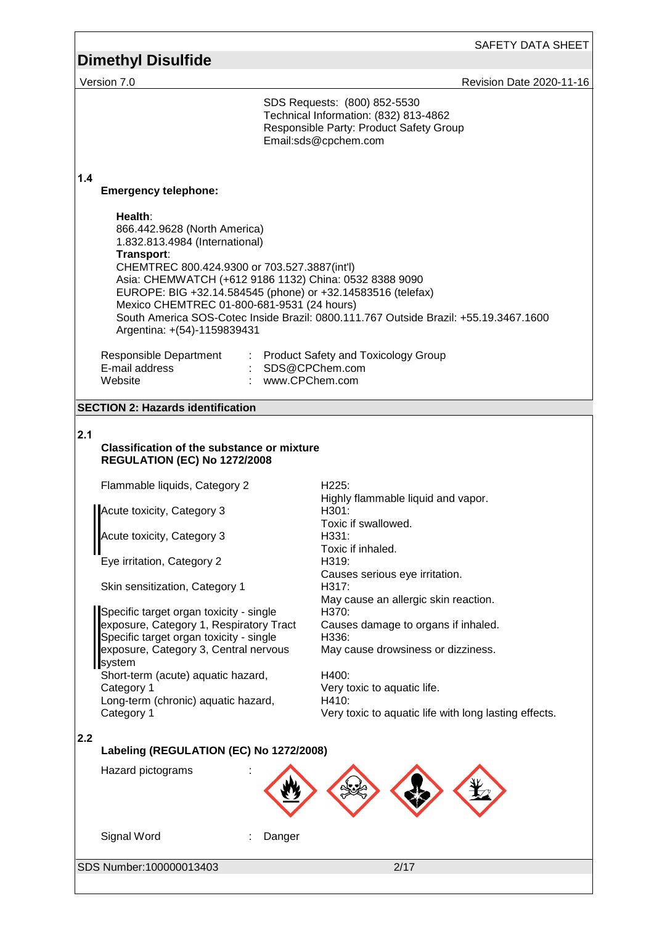|                                                                                                                                                                                                                                                                                                                                                                                                                                                                                                                                             | SAFETY DATA SHEET                                                                                                                                                                                                                                                                                                                                     |
|---------------------------------------------------------------------------------------------------------------------------------------------------------------------------------------------------------------------------------------------------------------------------------------------------------------------------------------------------------------------------------------------------------------------------------------------------------------------------------------------------------------------------------------------|-------------------------------------------------------------------------------------------------------------------------------------------------------------------------------------------------------------------------------------------------------------------------------------------------------------------------------------------------------|
| <b>Dimethyl Disulfide</b>                                                                                                                                                                                                                                                                                                                                                                                                                                                                                                                   |                                                                                                                                                                                                                                                                                                                                                       |
| Version 7.0                                                                                                                                                                                                                                                                                                                                                                                                                                                                                                                                 | Revision Date 2020-11-16                                                                                                                                                                                                                                                                                                                              |
|                                                                                                                                                                                                                                                                                                                                                                                                                                                                                                                                             | SDS Requests: (800) 852-5530<br>Technical Information: (832) 813-4862<br>Responsible Party: Product Safety Group<br>Email:sds@cpchem.com                                                                                                                                                                                                              |
| 1.4<br><b>Emergency telephone:</b>                                                                                                                                                                                                                                                                                                                                                                                                                                                                                                          |                                                                                                                                                                                                                                                                                                                                                       |
| Health:<br>866.442.9628 (North America)<br>1.832.813.4984 (International)<br>Transport:<br>CHEMTREC 800.424.9300 or 703.527.3887(int'l)<br>Asia: CHEMWATCH (+612 9186 1132) China: 0532 8388 9090<br>Mexico CHEMTREC 01-800-681-9531 (24 hours)<br>Argentina: +(54)-1159839431                                                                                                                                                                                                                                                              | EUROPE: BIG +32.14.584545 (phone) or +32.14583516 (telefax)<br>South America SOS-Cotec Inside Brazil: 0800.111.767 Outside Brazil: +55.19.3467.1600                                                                                                                                                                                                   |
| Responsible Department<br>E-mail address<br>Website                                                                                                                                                                                                                                                                                                                                                                                                                                                                                         | : Product Safety and Toxicology Group<br>: SDS@CPChem.com<br>: www.CPChem.com                                                                                                                                                                                                                                                                         |
| <b>SECTION 2: Hazards identification</b>                                                                                                                                                                                                                                                                                                                                                                                                                                                                                                    |                                                                                                                                                                                                                                                                                                                                                       |
| 2.1<br><b>Classification of the substance or mixture</b><br><b>REGULATION (EC) No 1272/2008</b><br>Flammable liquids, Category 2<br>Acute toxicity, Category 3<br>Acute toxicity, Category 3<br>Eye irritation, Category 2<br>Skin sensitization, Category 1<br>Specific target organ toxicity - single<br>exposure, Category 1, Respiratory Tract<br>Specific target organ toxicity - single<br>exposure, Category 3, Central nervous<br>system<br>Short-term (acute) aquatic hazard,<br>Category 1<br>Long-term (chronic) aquatic hazard, | H225:<br>Highly flammable liquid and vapor.<br>H301:<br>Toxic if swallowed.<br>H331:<br>Toxic if inhaled.<br>H319:<br>Causes serious eye irritation.<br>H317:<br>May cause an allergic skin reaction.<br>H370:<br>Causes damage to organs if inhaled.<br>H336:<br>May cause drowsiness or dizziness.<br>H400:<br>Very toxic to aquatic life.<br>H410: |
| Category 1                                                                                                                                                                                                                                                                                                                                                                                                                                                                                                                                  | Very toxic to aquatic life with long lasting effects.                                                                                                                                                                                                                                                                                                 |
| 2.2<br>Labeling (REGULATION (EC) No 1272/2008)                                                                                                                                                                                                                                                                                                                                                                                                                                                                                              |                                                                                                                                                                                                                                                                                                                                                       |
| Hazard pictograms<br>Signal Word                                                                                                                                                                                                                                                                                                                                                                                                                                                                                                            |                                                                                                                                                                                                                                                                                                                                                       |
|                                                                                                                                                                                                                                                                                                                                                                                                                                                                                                                                             | Danger                                                                                                                                                                                                                                                                                                                                                |
| SDS Number:100000013403                                                                                                                                                                                                                                                                                                                                                                                                                                                                                                                     | 2/17                                                                                                                                                                                                                                                                                                                                                  |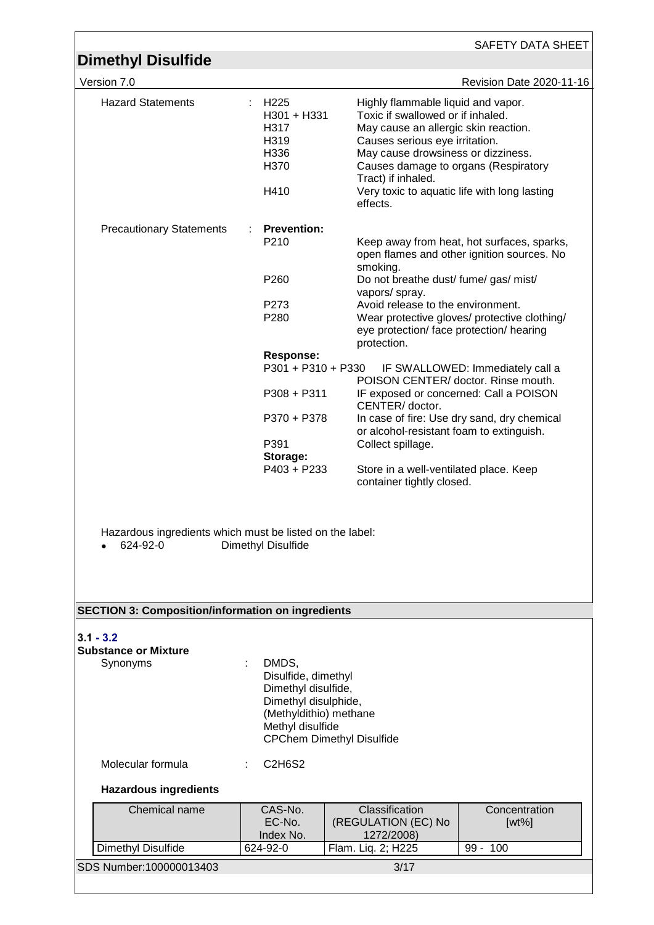|                                                                                                                         |                                                                         | SAFETY DATA SHEET                                                                                                                                                                                                                                                                                                 |  |  |
|-------------------------------------------------------------------------------------------------------------------------|-------------------------------------------------------------------------|-------------------------------------------------------------------------------------------------------------------------------------------------------------------------------------------------------------------------------------------------------------------------------------------------------------------|--|--|
| <b>Dimethyl Disulfide</b>                                                                                               |                                                                         |                                                                                                                                                                                                                                                                                                                   |  |  |
| Version 7.0                                                                                                             |                                                                         | Revision Date 2020-11-16                                                                                                                                                                                                                                                                                          |  |  |
| <b>Hazard Statements</b>                                                                                                | H <sub>225</sub><br>H301 + H331<br>H317<br>H319<br>H336<br>H370<br>H410 | Highly flammable liquid and vapor.<br>Toxic if swallowed or if inhaled.<br>May cause an allergic skin reaction.<br>Causes serious eye irritation.<br>May cause drowsiness or dizziness.<br>Causes damage to organs (Respiratory<br>Tract) if inhaled.<br>Very toxic to aquatic life with long lasting<br>effects. |  |  |
| <b>Precautionary Statements</b>                                                                                         | <b>Prevention:</b>                                                      |                                                                                                                                                                                                                                                                                                                   |  |  |
|                                                                                                                         | P210                                                                    | Keep away from heat, hot surfaces, sparks,<br>open flames and other ignition sources. No<br>smoking.                                                                                                                                                                                                              |  |  |
|                                                                                                                         | P260                                                                    | Do not breathe dust/ fume/ gas/ mist/<br>vapors/ spray.                                                                                                                                                                                                                                                           |  |  |
|                                                                                                                         | P273                                                                    | Avoid release to the environment.                                                                                                                                                                                                                                                                                 |  |  |
|                                                                                                                         | P280                                                                    | Wear protective gloves/ protective clothing/<br>eye protection/ face protection/ hearing<br>protection.                                                                                                                                                                                                           |  |  |
|                                                                                                                         | <b>Response:</b>                                                        |                                                                                                                                                                                                                                                                                                                   |  |  |
|                                                                                                                         | P301 + P310 + P330                                                      | IF SWALLOWED: Immediately call a<br>POISON CENTER/ doctor. Rinse mouth.                                                                                                                                                                                                                                           |  |  |
|                                                                                                                         | $P308 + P311$                                                           | IF exposed or concerned: Call a POISON<br>CENTER/doctor.                                                                                                                                                                                                                                                          |  |  |
|                                                                                                                         | P370 + P378                                                             | In case of fire: Use dry sand, dry chemical<br>or alcohol-resistant foam to extinguish.                                                                                                                                                                                                                           |  |  |
|                                                                                                                         | P391                                                                    | Collect spillage.                                                                                                                                                                                                                                                                                                 |  |  |
|                                                                                                                         | Storage:<br>P403 + P233                                                 | Store in a well-ventilated place. Keep                                                                                                                                                                                                                                                                            |  |  |
| container tightly closed.<br>Hazardous ingredients which must be listed on the label:<br>624-92-0<br>Dimethyl Disulfide |                                                                         |                                                                                                                                                                                                                                                                                                                   |  |  |
| <b>SECTION 3: Composition/information on ingredients</b>                                                                |                                                                         |                                                                                                                                                                                                                                                                                                                   |  |  |
|                                                                                                                         |                                                                         |                                                                                                                                                                                                                                                                                                                   |  |  |
| $3.1 - 3.2$                                                                                                             |                                                                         |                                                                                                                                                                                                                                                                                                                   |  |  |
| <b>Substance or Mixture</b><br>Synonyms                                                                                 | DMDS,                                                                   |                                                                                                                                                                                                                                                                                                                   |  |  |
|                                                                                                                         | Disulfide, dimethyl                                                     |                                                                                                                                                                                                                                                                                                                   |  |  |
|                                                                                                                         | Dimethyl disulfide,<br>Dimethyl disulphide,                             |                                                                                                                                                                                                                                                                                                                   |  |  |
|                                                                                                                         | (Methyldithio) methane                                                  |                                                                                                                                                                                                                                                                                                                   |  |  |
|                                                                                                                         | Methyl disulfide<br><b>CPChem Dimethyl Disulfide</b>                    |                                                                                                                                                                                                                                                                                                                   |  |  |
| Molecular formula                                                                                                       | C2H6S2                                                                  |                                                                                                                                                                                                                                                                                                                   |  |  |
| <b>Hazardous ingredients</b>                                                                                            |                                                                         |                                                                                                                                                                                                                                                                                                                   |  |  |
| Chemical name                                                                                                           | CAS-No.<br>EC-No.                                                       | Classification<br>Concentration<br>(REGULATION (EC) No<br>$[wt\%]$                                                                                                                                                                                                                                                |  |  |
| Dimethyl Disulfide                                                                                                      | Index No.<br>624-92-0                                                   | 1272/2008)<br>Flam. Liq. 2; H225<br>99 - 100                                                                                                                                                                                                                                                                      |  |  |
| SDS Number: 100000013403                                                                                                |                                                                         | 3/17                                                                                                                                                                                                                                                                                                              |  |  |
|                                                                                                                         |                                                                         |                                                                                                                                                                                                                                                                                                                   |  |  |

<u> 1980 - Johann Barn, mars ann an t-Amhain Aonaich an t-Aonaich an t-Aonaich ann an t-Aonaich ann an t-Aonaich</u>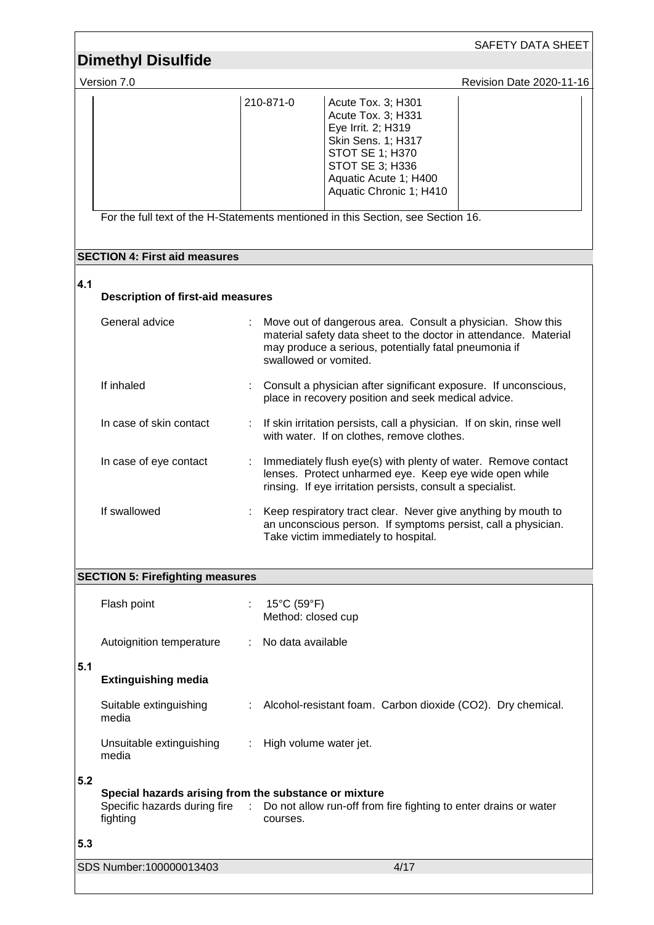|     |                                                                                                     |    |                                                        |                                                                                                                                                                                         | <b>SAFETY DATA SHEET</b> |
|-----|-----------------------------------------------------------------------------------------------------|----|--------------------------------------------------------|-----------------------------------------------------------------------------------------------------------------------------------------------------------------------------------------|--------------------------|
|     | <b>Dimethyl Disulfide</b>                                                                           |    |                                                        |                                                                                                                                                                                         |                          |
|     | Version 7.0                                                                                         |    |                                                        |                                                                                                                                                                                         | Revision Date 2020-11-16 |
|     |                                                                                                     |    | 210-871-0                                              | Acute Tox. 3; H301<br>Acute Tox. 3; H331<br>Eye Irrit. 2; H319<br>Skin Sens. 1; H317<br>STOT SE 1; H370<br><b>STOT SE 3; H336</b><br>Aquatic Acute 1; H400<br>Aquatic Chronic 1; H410   |                          |
|     | For the full text of the H-Statements mentioned in this Section, see Section 16.                    |    |                                                        |                                                                                                                                                                                         |                          |
|     | <b>SECTION 4: First aid measures</b>                                                                |    |                                                        |                                                                                                                                                                                         |                          |
| 4.1 | <b>Description of first-aid measures</b>                                                            |    |                                                        |                                                                                                                                                                                         |                          |
|     | General advice                                                                                      |    | swallowed or vomited.                                  | Move out of dangerous area. Consult a physician. Show this<br>material safety data sheet to the doctor in attendance. Material<br>may produce a serious, potentially fatal pneumonia if |                          |
|     | If inhaled                                                                                          |    |                                                        | Consult a physician after significant exposure. If unconscious,<br>place in recovery position and seek medical advice.                                                                  |                          |
|     | In case of skin contact                                                                             |    |                                                        | If skin irritation persists, call a physician. If on skin, rinse well<br>with water. If on clothes, remove clothes.                                                                     |                          |
|     | In case of eye contact                                                                              |    |                                                        | Immediately flush eye(s) with plenty of water. Remove contact<br>lenses. Protect unharmed eye. Keep eye wide open while<br>rinsing. If eye irritation persists, consult a specialist.   |                          |
|     | If swallowed                                                                                        |    |                                                        | Keep respiratory tract clear. Never give anything by mouth to<br>an unconscious person. If symptoms persist, call a physician.<br>Take victim immediately to hospital.                  |                          |
|     | <b>SECTION 5: Firefighting measures</b>                                                             |    |                                                        |                                                                                                                                                                                         |                          |
|     | Flash point                                                                                         | ÷. | $15^{\circ}$ C (59 $^{\circ}$ F)<br>Method: closed cup |                                                                                                                                                                                         |                          |
|     | Autoignition temperature                                                                            |    | No data available                                      |                                                                                                                                                                                         |                          |
| 5.1 | <b>Extinguishing media</b>                                                                          |    |                                                        |                                                                                                                                                                                         |                          |
|     | Suitable extinguishing<br>media                                                                     |    |                                                        | : Alcohol-resistant foam. Carbon dioxide (CO2). Dry chemical.                                                                                                                           |                          |
|     | Unsuitable extinguishing<br>media                                                                   | t. | High volume water jet.                                 |                                                                                                                                                                                         |                          |
| 5.2 | Special hazards arising from the substance or mixture<br>Specific hazards during fire :<br>fighting |    | courses.                                               | Do not allow run-off from fire fighting to enter drains or water                                                                                                                        |                          |
| 5.3 |                                                                                                     |    |                                                        |                                                                                                                                                                                         |                          |
|     | SDS Number: 100000013403                                                                            |    |                                                        | 4/17                                                                                                                                                                                    |                          |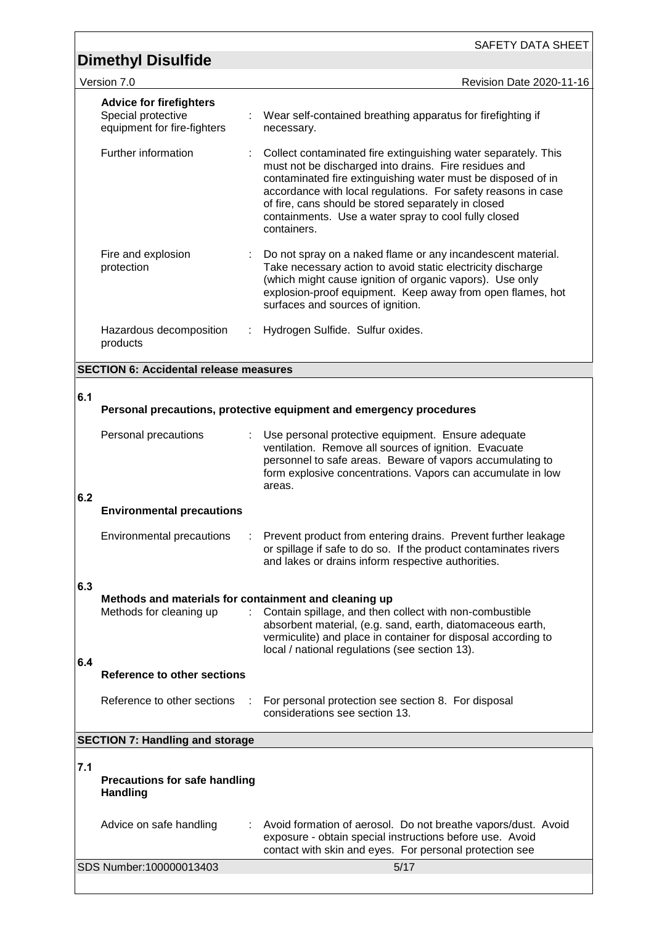|     | <b>Dimethyl Disulfide</b>                                                        |   | SAFETY DATA SHEET                                                                                                                                                                                                                                                                                                                                                                      |
|-----|----------------------------------------------------------------------------------|---|----------------------------------------------------------------------------------------------------------------------------------------------------------------------------------------------------------------------------------------------------------------------------------------------------------------------------------------------------------------------------------------|
|     | Version 7.0                                                                      |   | Revision Date 2020-11-16                                                                                                                                                                                                                                                                                                                                                               |
|     | <b>Advice for firefighters</b>                                                   |   |                                                                                                                                                                                                                                                                                                                                                                                        |
|     | Special protective<br>equipment for fire-fighters                                |   | Wear self-contained breathing apparatus for firefighting if<br>necessary.                                                                                                                                                                                                                                                                                                              |
|     | Further information                                                              |   | Collect contaminated fire extinguishing water separately. This<br>must not be discharged into drains. Fire residues and<br>contaminated fire extinguishing water must be disposed of in<br>accordance with local regulations. For safety reasons in case<br>of fire, cans should be stored separately in closed<br>containments. Use a water spray to cool fully closed<br>containers. |
|     | Fire and explosion<br>protection                                                 |   | Do not spray on a naked flame or any incandescent material.<br>Take necessary action to avoid static electricity discharge<br>(which might cause ignition of organic vapors). Use only<br>explosion-proof equipment. Keep away from open flames, hot<br>surfaces and sources of ignition.                                                                                              |
|     | Hazardous decomposition<br>products                                              | ÷ | Hydrogen Sulfide. Sulfur oxides.                                                                                                                                                                                                                                                                                                                                                       |
|     | <b>SECTION 6: Accidental release measures</b>                                    |   |                                                                                                                                                                                                                                                                                                                                                                                        |
| 6.1 |                                                                                  |   |                                                                                                                                                                                                                                                                                                                                                                                        |
|     |                                                                                  |   | Personal precautions, protective equipment and emergency procedures                                                                                                                                                                                                                                                                                                                    |
|     | Personal precautions                                                             |   | Use personal protective equipment. Ensure adequate<br>ventilation. Remove all sources of ignition. Evacuate<br>personnel to safe areas. Beware of vapors accumulating to<br>form explosive concentrations. Vapors can accumulate in low<br>areas.                                                                                                                                      |
| 6.2 | <b>Environmental precautions</b>                                                 |   |                                                                                                                                                                                                                                                                                                                                                                                        |
|     | <b>Environmental precautions</b>                                                 |   | Prevent product from entering drains. Prevent further leakage<br>or spillage if safe to do so. If the product contaminates rivers<br>and lakes or drains inform respective authorities.                                                                                                                                                                                                |
| 6.3 |                                                                                  |   |                                                                                                                                                                                                                                                                                                                                                                                        |
|     | Methods and materials for containment and cleaning up<br>Methods for cleaning up |   | Contain spillage, and then collect with non-combustible<br>absorbent material, (e.g. sand, earth, diatomaceous earth,<br>vermiculite) and place in container for disposal according to<br>local / national regulations (see section 13).                                                                                                                                               |
| 6.4 | <b>Reference to other sections</b>                                               |   |                                                                                                                                                                                                                                                                                                                                                                                        |
|     | Reference to other sections                                                      |   | For personal protection see section 8. For disposal<br>considerations see section 13.                                                                                                                                                                                                                                                                                                  |
|     | <b>SECTION 7: Handling and storage</b>                                           |   |                                                                                                                                                                                                                                                                                                                                                                                        |
| 7.1 | <b>Precautions for safe handling</b><br><b>Handling</b>                          |   |                                                                                                                                                                                                                                                                                                                                                                                        |
|     | Advice on safe handling                                                          |   | Avoid formation of aerosol. Do not breathe vapors/dust. Avoid<br>exposure - obtain special instructions before use. Avoid<br>contact with skin and eyes. For personal protection see                                                                                                                                                                                                   |
|     | SDS Number:100000013403                                                          |   | 5/17                                                                                                                                                                                                                                                                                                                                                                                   |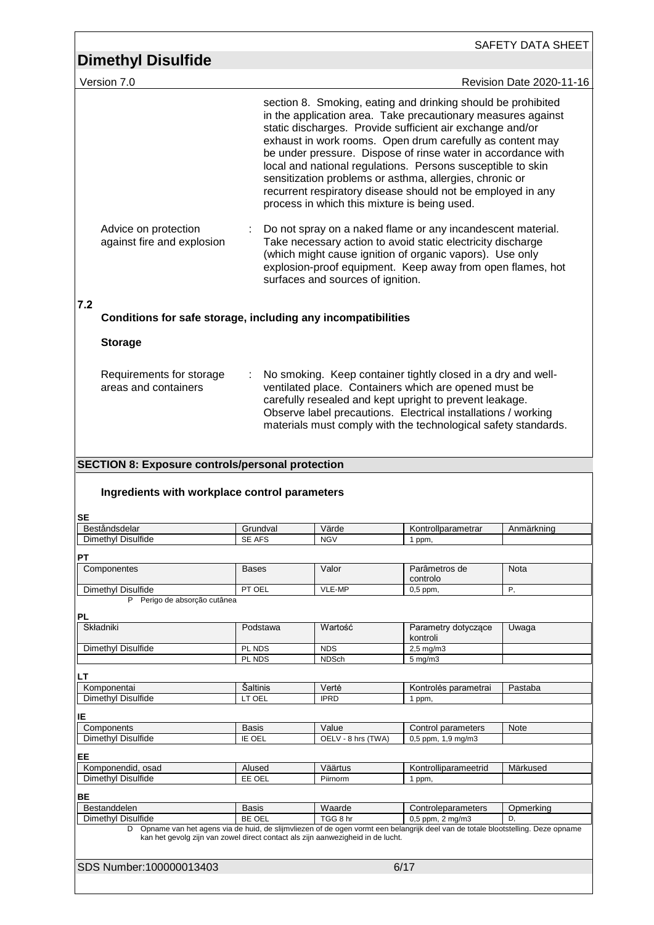| <b>Dimethyl Disulfide</b>                                                                                                                                                                                                                                                                 |                  |                                   |                                                                                                                                                                                                                                                                                                                                                                                                                                                                                                                                                                 |                          |
|-------------------------------------------------------------------------------------------------------------------------------------------------------------------------------------------------------------------------------------------------------------------------------------------|------------------|-----------------------------------|-----------------------------------------------------------------------------------------------------------------------------------------------------------------------------------------------------------------------------------------------------------------------------------------------------------------------------------------------------------------------------------------------------------------------------------------------------------------------------------------------------------------------------------------------------------------|--------------------------|
| Version 7.0                                                                                                                                                                                                                                                                               |                  |                                   |                                                                                                                                                                                                                                                                                                                                                                                                                                                                                                                                                                 | Revision Date 2020-11-16 |
|                                                                                                                                                                                                                                                                                           |                  |                                   | section 8. Smoking, eating and drinking should be prohibited<br>in the application area. Take precautionary measures against<br>static discharges. Provide sufficient air exchange and/or<br>exhaust in work rooms. Open drum carefully as content may<br>be under pressure. Dispose of rinse water in accordance with<br>local and national regulations. Persons susceptible to skin<br>sensitization problems or asthma, allergies, chronic or<br>recurrent respiratory disease should not be employed in any<br>process in which this mixture is being used. |                          |
| Advice on protection<br>against fire and explosion                                                                                                                                                                                                                                        |                  | surfaces and sources of ignition. | Do not spray on a naked flame or any incandescent material.<br>Take necessary action to avoid static electricity discharge<br>(which might cause ignition of organic vapors). Use only<br>explosion-proof equipment. Keep away from open flames, hot                                                                                                                                                                                                                                                                                                            |                          |
| 7.2<br>Conditions for safe storage, including any incompatibilities                                                                                                                                                                                                                       |                  |                                   |                                                                                                                                                                                                                                                                                                                                                                                                                                                                                                                                                                 |                          |
| <b>Storage</b>                                                                                                                                                                                                                                                                            |                  |                                   |                                                                                                                                                                                                                                                                                                                                                                                                                                                                                                                                                                 |                          |
| Requirements for storage<br>areas and containers                                                                                                                                                                                                                                          | ÷                |                                   | No smoking. Keep container tightly closed in a dry and well-<br>ventilated place. Containers which are opened must be<br>carefully resealed and kept upright to prevent leakage.<br>Observe label precautions. Electrical installations / working<br>materials must comply with the technological safety standards.                                                                                                                                                                                                                                             |                          |
| <b>SECTION 8: Exposure controls/personal protection</b>                                                                                                                                                                                                                                   |                  |                                   |                                                                                                                                                                                                                                                                                                                                                                                                                                                                                                                                                                 |                          |
| Ingredients with workplace control parameters                                                                                                                                                                                                                                             |                  |                                   |                                                                                                                                                                                                                                                                                                                                                                                                                                                                                                                                                                 |                          |
|                                                                                                                                                                                                                                                                                           | Grundval         | Värde                             | Kontrollparametrar                                                                                                                                                                                                                                                                                                                                                                                                                                                                                                                                              | Anmärkning               |
|                                                                                                                                                                                                                                                                                           | <b>SE AFS</b>    | <b>NGV</b>                        | 1 ppm,                                                                                                                                                                                                                                                                                                                                                                                                                                                                                                                                                          |                          |
|                                                                                                                                                                                                                                                                                           | <b>Bases</b>     | Valor                             | Parâmetros de                                                                                                                                                                                                                                                                                                                                                                                                                                                                                                                                                   | Nota                     |
|                                                                                                                                                                                                                                                                                           |                  |                                   | controlo                                                                                                                                                                                                                                                                                                                                                                                                                                                                                                                                                        |                          |
| P Perigo de absorção cutânea                                                                                                                                                                                                                                                              | PT OEL           | VLE-MP                            | $0,5$ ppm,                                                                                                                                                                                                                                                                                                                                                                                                                                                                                                                                                      | Ρ,                       |
|                                                                                                                                                                                                                                                                                           |                  |                                   |                                                                                                                                                                                                                                                                                                                                                                                                                                                                                                                                                                 |                          |
|                                                                                                                                                                                                                                                                                           | Podstawa         | Wartość                           | Parametry dotyczące<br>kontroli                                                                                                                                                                                                                                                                                                                                                                                                                                                                                                                                 | Uwaga                    |
|                                                                                                                                                                                                                                                                                           | PL NDS           | <b>NDS</b>                        | 2,5 mg/m3                                                                                                                                                                                                                                                                                                                                                                                                                                                                                                                                                       |                          |
|                                                                                                                                                                                                                                                                                           | PL NDS           | <b>NDSch</b>                      | $5$ mg/m $3$                                                                                                                                                                                                                                                                                                                                                                                                                                                                                                                                                    |                          |
|                                                                                                                                                                                                                                                                                           | Saltinis         | Vertė                             | Kontrolės parametrai                                                                                                                                                                                                                                                                                                                                                                                                                                                                                                                                            | Pastaba                  |
|                                                                                                                                                                                                                                                                                           | LT OEL           | <b>IPRD</b>                       | 1 ppm,                                                                                                                                                                                                                                                                                                                                                                                                                                                                                                                                                          |                          |
|                                                                                                                                                                                                                                                                                           |                  |                                   |                                                                                                                                                                                                                                                                                                                                                                                                                                                                                                                                                                 |                          |
|                                                                                                                                                                                                                                                                                           | <b>Basis</b>     | Value                             | Control parameters                                                                                                                                                                                                                                                                                                                                                                                                                                                                                                                                              | <b>Note</b>              |
|                                                                                                                                                                                                                                                                                           | IE OEL           | OELV - 8 hrs (TWA)                | 0,5 ppm, 1,9 mg/m3                                                                                                                                                                                                                                                                                                                                                                                                                                                                                                                                              |                          |
|                                                                                                                                                                                                                                                                                           |                  |                                   |                                                                                                                                                                                                                                                                                                                                                                                                                                                                                                                                                                 |                          |
|                                                                                                                                                                                                                                                                                           | Alused<br>EE OEL | Väärtus<br>Piirnorm               | Kontrolliparameetrid<br>1 ppm,                                                                                                                                                                                                                                                                                                                                                                                                                                                                                                                                  | Märkused                 |
|                                                                                                                                                                                                                                                                                           |                  |                                   |                                                                                                                                                                                                                                                                                                                                                                                                                                                                                                                                                                 |                          |
| SE<br>Beståndsdelar<br>Dimethyl Disulfide<br>PТ<br>Componentes<br>Dimethyl Disulfide<br>PL<br>Składniki<br>Dimethyl Disulfide<br>LΤ<br>Komponentai<br>Dimethyl Disulfide<br>ΙE<br>Components<br>Dimethyl Disulfide<br>EE<br>Komponendid, osad<br>Dimethyl Disulfide<br>ВE<br>Bestanddelen | <b>Basis</b>     | Waarde                            | Controleparameters                                                                                                                                                                                                                                                                                                                                                                                                                                                                                                                                              | Opmerking                |
| Dimethyl Disulfide                                                                                                                                                                                                                                                                        | BE OEL           | TGG 8 hr                          | 0,5 ppm, 2 mg/m3                                                                                                                                                                                                                                                                                                                                                                                                                                                                                                                                                | D,                       |
| kan het gevolg zijn van zowel direct contact als zijn aanwezigheid in de lucht.                                                                                                                                                                                                           |                  |                                   | D Opname van het agens via de huid, de slijmvliezen of de ogen vormt een belangrijk deel van de totale blootstelling. Deze opname                                                                                                                                                                                                                                                                                                                                                                                                                               |                          |
| SDS Number:100000013403                                                                                                                                                                                                                                                                   |                  |                                   | 6/17                                                                                                                                                                                                                                                                                                                                                                                                                                                                                                                                                            |                          |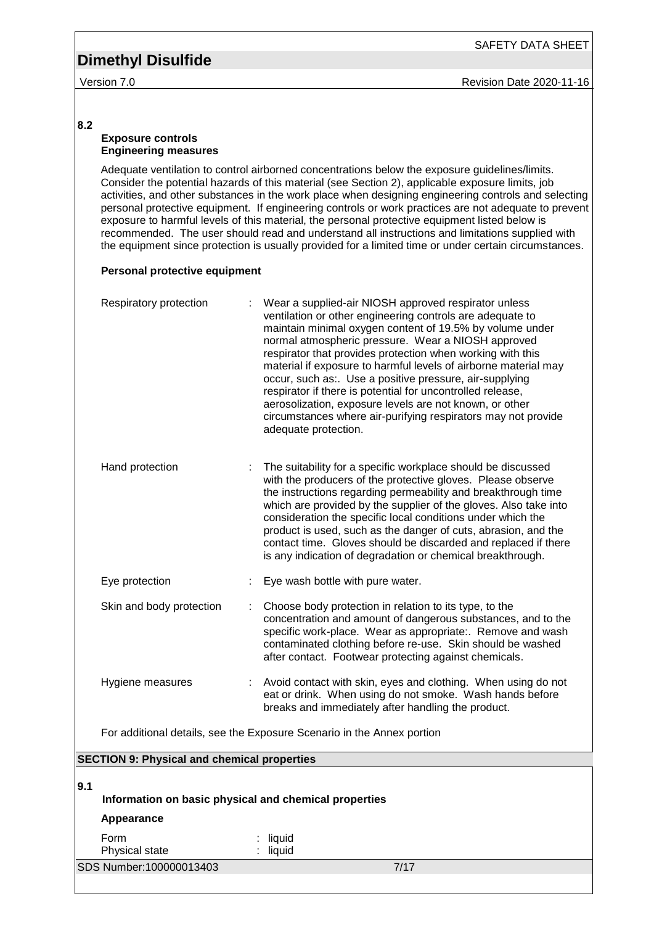#### **8.2**

#### **Exposure controls Engineering measures**

Adequate ventilation to control airborned concentrations below the exposure guidelines/limits. Consider the potential hazards of this material (see Section 2), applicable exposure limits, job activities, and other substances in the work place when designing engineering controls and selecting personal protective equipment. If engineering controls or work practices are not adequate to prevent exposure to harmful levels of this material, the personal protective equipment listed below is recommended. The user should read and understand all instructions and limitations supplied with the equipment since protection is usually provided for a limited time or under certain circumstances.

#### **Personal protective equipment**

| Respiratory protection                             | Wear a supplied-air NIOSH approved respirator unless<br>ventilation or other engineering controls are adequate to<br>maintain minimal oxygen content of 19.5% by volume under<br>normal atmospheric pressure. Wear a NIOSH approved<br>respirator that provides protection when working with this<br>material if exposure to harmful levels of airborne material may<br>occur, such as:. Use a positive pressure, air-supplying<br>respirator if there is potential for uncontrolled release,<br>aerosolization, exposure levels are not known, or other<br>circumstances where air-purifying respirators may not provide<br>adequate protection. |
|----------------------------------------------------|---------------------------------------------------------------------------------------------------------------------------------------------------------------------------------------------------------------------------------------------------------------------------------------------------------------------------------------------------------------------------------------------------------------------------------------------------------------------------------------------------------------------------------------------------------------------------------------------------------------------------------------------------|
| Hand protection                                    | The suitability for a specific workplace should be discussed<br>with the producers of the protective gloves. Please observe<br>the instructions regarding permeability and breakthrough time<br>which are provided by the supplier of the gloves. Also take into<br>consideration the specific local conditions under which the<br>product is used, such as the danger of cuts, abrasion, and the<br>contact time. Gloves should be discarded and replaced if there<br>is any indication of degradation or chemical breakthrough.                                                                                                                 |
| Eye protection                                     | Eye wash bottle with pure water.                                                                                                                                                                                                                                                                                                                                                                                                                                                                                                                                                                                                                  |
| Skin and body protection                           | Choose body protection in relation to its type, to the<br>concentration and amount of dangerous substances, and to the<br>specific work-place. Wear as appropriate:. Remove and wash<br>contaminated clothing before re-use. Skin should be washed<br>after contact. Footwear protecting against chemicals.                                                                                                                                                                                                                                                                                                                                       |
| Hygiene measures                                   | Avoid contact with skin, eyes and clothing. When using do not<br>eat or drink. When using do not smoke. Wash hands before<br>breaks and immediately after handling the product.                                                                                                                                                                                                                                                                                                                                                                                                                                                                   |
|                                                    | For additional details, see the Exposure Scenario in the Annex portion                                                                                                                                                                                                                                                                                                                                                                                                                                                                                                                                                                            |
| <b>SECTION 9: Physical and chemical properties</b> |                                                                                                                                                                                                                                                                                                                                                                                                                                                                                                                                                                                                                                                   |

| l9.1 | Information on basic physical and chemical properties<br>Appearance |                  |      |
|------|---------------------------------------------------------------------|------------------|------|
|      | Form<br>Physical state                                              | liquid<br>liquid |      |
|      | SDS Number:100000013403                                             |                  | 7/17 |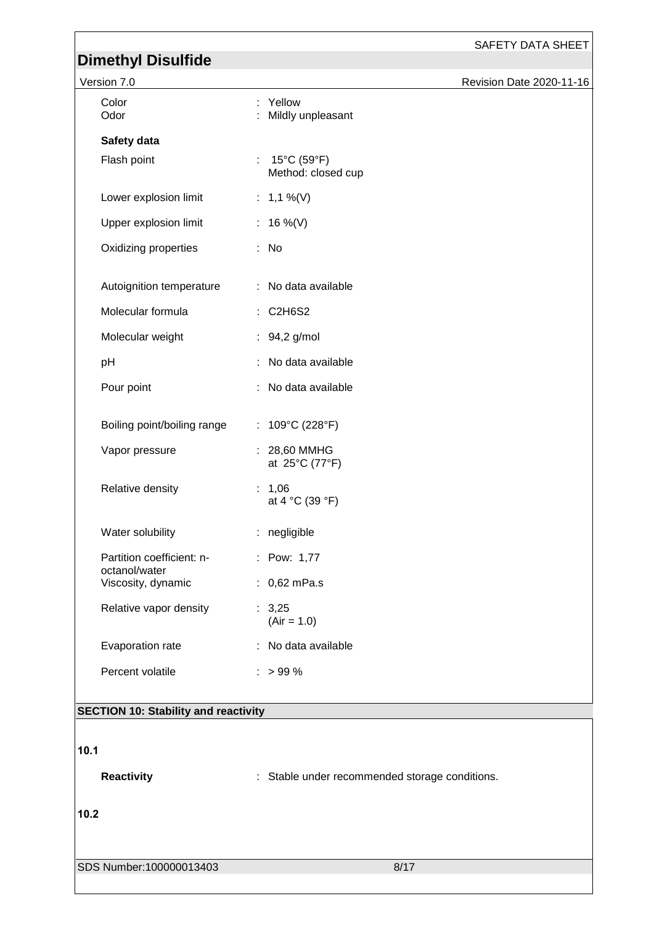#### SAFETY DATA SHEET

# **Dimethyl Disulfide**

| Version 7.0                                |                                                          | Revision Date 2020-11-16 |
|--------------------------------------------|----------------------------------------------------------|--------------------------|
| Color<br>Odor                              | Yellow<br>Mildly unpleasant                              |                          |
| Safety data                                |                                                          |                          |
| Flash point                                | : $15^{\circ}$ C (59 $^{\circ}$ F)<br>Method: closed cup |                          |
| Lower explosion limit                      | : $1,1\%$ (V)                                            |                          |
| Upper explosion limit                      | : 16 %(V)                                                |                          |
| Oxidizing properties                       | : No                                                     |                          |
| Autoignition temperature                   | : No data available                                      |                          |
| Molecular formula                          | : C2H6S2                                                 |                          |
| Molecular weight                           | : 94,2 g/mol                                             |                          |
| pH                                         | : No data available                                      |                          |
| Pour point                                 | : No data available                                      |                          |
| Boiling point/boiling range                | : $109^{\circ}C(228^{\circ}F)$                           |                          |
| Vapor pressure                             | : 28,60 MMHG<br>at 25°C (77°F)                           |                          |
| Relative density                           | : $1,06$<br>at 4 °C (39 °F)                              |                          |
| Water solubility                           | : negligible                                             |                          |
| Partition coefficient: n-<br>octanol/water | : Pow: 1,77                                              |                          |
| Viscosity, dynamic                         | : $0,62 \text{ mPa.s}$                                   |                          |
| Relative vapor density                     | : 3,25<br>$(Air = 1.0)$                                  |                          |
| Evaporation rate                           | No data available                                        |                          |
| Percent volatile                           | $: > 99 \%$                                              |                          |
|                                            |                                                          |                          |

## **SECTION 10: Stability and reactivity**

**10.1** 

**Reactivity** : Stable under recommended storage conditions.

**10.2** 

SDS Number:100000013403 8/17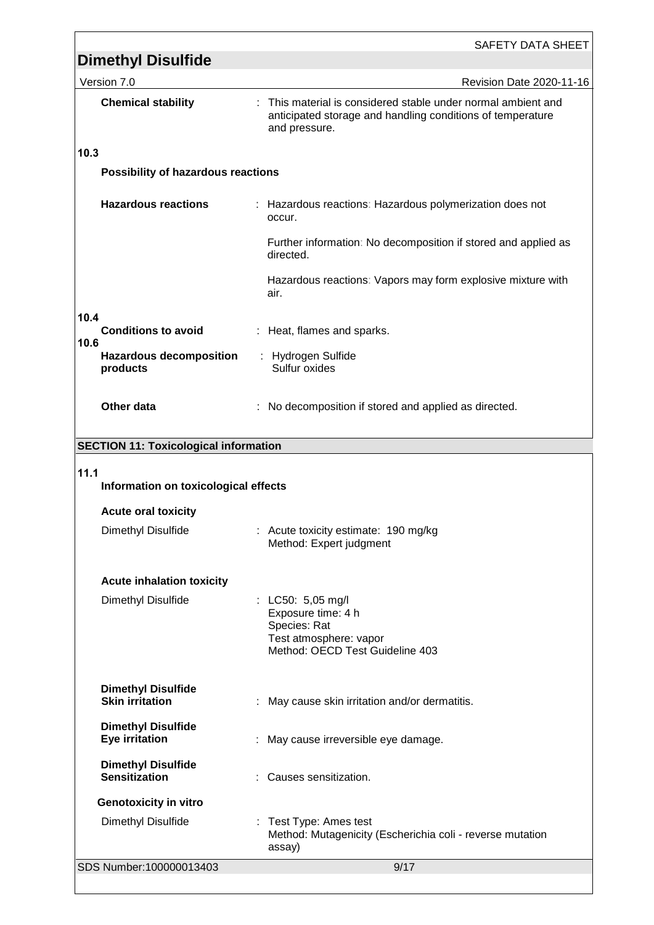|                                                                                                  | <b>Dimethyl Disulfide</b>                           | SAFETY DATA SHEET                                                                                                                            |  |
|--------------------------------------------------------------------------------------------------|-----------------------------------------------------|----------------------------------------------------------------------------------------------------------------------------------------------|--|
|                                                                                                  | Version 7.0                                         | Revision Date 2020-11-16                                                                                                                     |  |
|                                                                                                  | <b>Chemical stability</b>                           | : This material is considered stable under normal ambient and<br>anticipated storage and handling conditions of temperature<br>and pressure. |  |
| 10.3                                                                                             |                                                     |                                                                                                                                              |  |
|                                                                                                  | Possibility of hazardous reactions                  |                                                                                                                                              |  |
| <b>Hazardous reactions</b><br>: Hazardous reactions: Hazardous polymerization does not<br>occur. |                                                     |                                                                                                                                              |  |
|                                                                                                  |                                                     | Further information: No decomposition if stored and applied as<br>directed.                                                                  |  |
|                                                                                                  |                                                     | Hazardous reactions: Vapors may form explosive mixture with<br>air.                                                                          |  |
| 10.4                                                                                             |                                                     |                                                                                                                                              |  |
| 10.6                                                                                             | <b>Conditions to avoid</b>                          | : Heat, flames and sparks.                                                                                                                   |  |
|                                                                                                  | <b>Hazardous decomposition</b><br>products          | : Hydrogen Sulfide<br>Sulfur oxides                                                                                                          |  |
|                                                                                                  | Other data                                          | : No decomposition if stored and applied as directed.                                                                                        |  |
|                                                                                                  | <b>SECTION 11: Toxicological information</b>        |                                                                                                                                              |  |
| 11.1<br>Information on toxicological effects                                                     |                                                     |                                                                                                                                              |  |
|                                                                                                  | <b>Acute oral toxicity</b>                          |                                                                                                                                              |  |
|                                                                                                  | Dimethyl Disulfide                                  | : Acute toxicity estimate: 190 mg/kg<br>Method: Expert judgment                                                                              |  |
|                                                                                                  | <b>Acute inhalation toxicity</b>                    |                                                                                                                                              |  |
|                                                                                                  | Dimethyl Disulfide                                  | : $LC50: 5,05 \text{ mg/l}$<br>Exposure time: 4 h<br>Species: Rat<br>Test atmosphere: vapor<br>Method: OECD Test Guideline 403               |  |
|                                                                                                  | <b>Dimethyl Disulfide</b><br><b>Skin irritation</b> | May cause skin irritation and/or dermatitis.                                                                                                 |  |
|                                                                                                  | <b>Dimethyl Disulfide</b><br><b>Eye irritation</b>  | May cause irreversible eye damage.                                                                                                           |  |
|                                                                                                  | <b>Dimethyl Disulfide</b><br><b>Sensitization</b>   | Causes sensitization.                                                                                                                        |  |
|                                                                                                  | <b>Genotoxicity in vitro</b>                        |                                                                                                                                              |  |
|                                                                                                  | Dimethyl Disulfide                                  | : Test Type: Ames test<br>Method: Mutagenicity (Escherichia coli - reverse mutation<br>assay)                                                |  |
|                                                                                                  | SDS Number:100000013403                             | 9/17                                                                                                                                         |  |
|                                                                                                  |                                                     |                                                                                                                                              |  |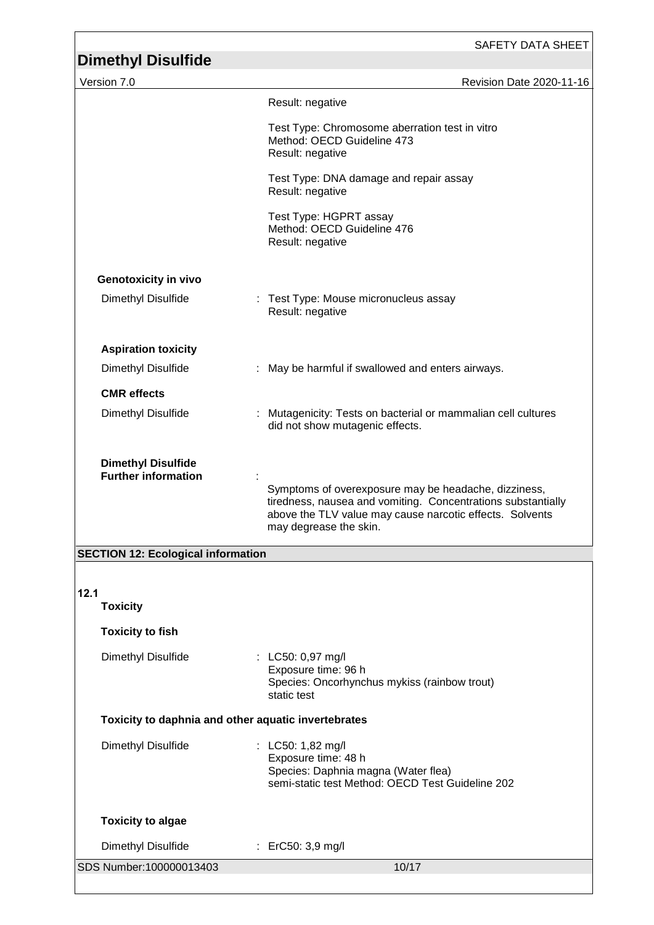|                                                         | SAFETY DATA SHEET                                                                                                                                                                                          |  |
|---------------------------------------------------------|------------------------------------------------------------------------------------------------------------------------------------------------------------------------------------------------------------|--|
| <b>Dimethyl Disulfide</b>                               |                                                                                                                                                                                                            |  |
| Version 7.0                                             | Revision Date 2020-11-16                                                                                                                                                                                   |  |
|                                                         | Result: negative                                                                                                                                                                                           |  |
|                                                         | Test Type: Chromosome aberration test in vitro<br>Method: OECD Guideline 473<br>Result: negative                                                                                                           |  |
|                                                         | Test Type: DNA damage and repair assay<br>Result: negative                                                                                                                                                 |  |
|                                                         | Test Type: HGPRT assay<br>Method: OECD Guideline 476<br>Result: negative                                                                                                                                   |  |
| <b>Genotoxicity in vivo</b>                             |                                                                                                                                                                                                            |  |
| Dimethyl Disulfide                                      | : Test Type: Mouse micronucleus assay<br>Result: negative                                                                                                                                                  |  |
| <b>Aspiration toxicity</b>                              |                                                                                                                                                                                                            |  |
| Dimethyl Disulfide                                      | : May be harmful if swallowed and enters airways.                                                                                                                                                          |  |
| <b>CMR</b> effects                                      |                                                                                                                                                                                                            |  |
| Dimethyl Disulfide                                      | Mutagenicity: Tests on bacterial or mammalian cell cultures<br>did not show mutagenic effects.                                                                                                             |  |
| <b>Dimethyl Disulfide</b><br><b>Further information</b> | Symptoms of overexposure may be headache, dizziness,<br>tiredness, nausea and vomiting. Concentrations substantially<br>above the TLV value may cause narcotic effects. Solvents<br>may degrease the skin. |  |
| <b>SECTION 12: Ecological information</b>               |                                                                                                                                                                                                            |  |
| 12.1<br><b>Toxicity</b>                                 |                                                                                                                                                                                                            |  |
| <b>Toxicity to fish</b>                                 |                                                                                                                                                                                                            |  |
| Dimethyl Disulfide                                      | : LC50: 0,97 mg/l<br>Exposure time: 96 h<br>Species: Oncorhynchus mykiss (rainbow trout)<br>static test                                                                                                    |  |
| Toxicity to daphnia and other aquatic invertebrates     |                                                                                                                                                                                                            |  |
| Dimethyl Disulfide                                      | : LC50: 1,82 mg/l<br>Exposure time: 48 h<br>Species: Daphnia magna (Water flea)<br>semi-static test Method: OECD Test Guideline 202                                                                        |  |

SDS Number:100000013403 10/17 **Toxicity to algae** Dimethyl Disulfide : ErC50: 3,9 mg/l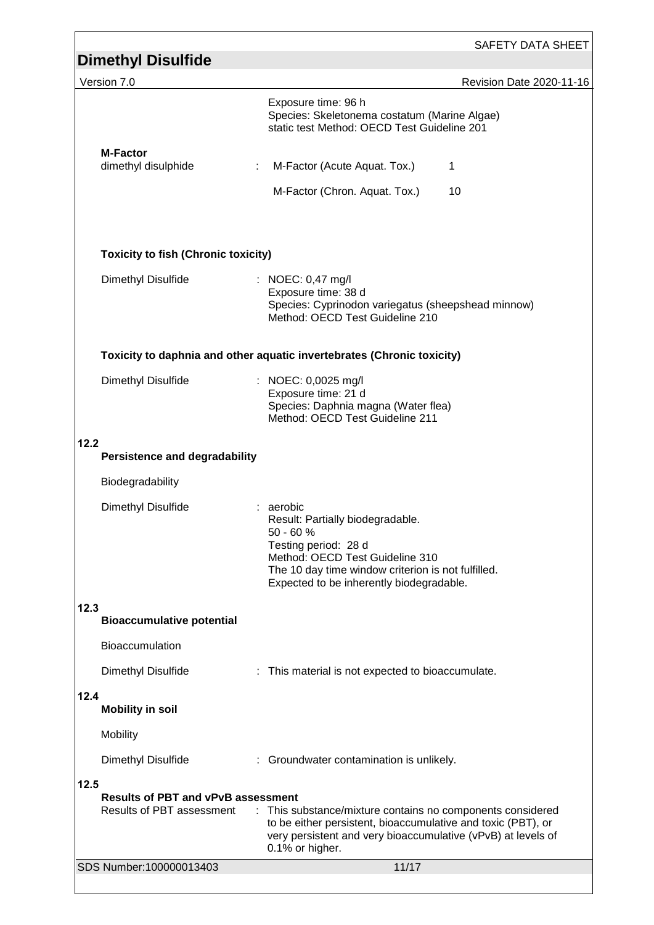| <b>Dimethyl Disulfide</b>                         | SAFETY DATA SHEET                                                                                                                                                                                                       |  |  |
|---------------------------------------------------|-------------------------------------------------------------------------------------------------------------------------------------------------------------------------------------------------------------------------|--|--|
| Version 7.0                                       | Revision Date 2020-11-16                                                                                                                                                                                                |  |  |
|                                                   | Exposure time: 96 h<br>Species: Skeletonema costatum (Marine Algae)<br>static test Method: OECD Test Guideline 201                                                                                                      |  |  |
| <b>M-Factor</b><br>dimethyl disulphide            | M-Factor (Acute Aquat. Tox.)<br>1                                                                                                                                                                                       |  |  |
|                                                   | M-Factor (Chron. Aquat. Tox.)<br>10                                                                                                                                                                                     |  |  |
| <b>Toxicity to fish (Chronic toxicity)</b>        |                                                                                                                                                                                                                         |  |  |
| Dimethyl Disulfide                                | : NOEC: 0,47 mg/l<br>Exposure time: 38 d<br>Species: Cyprinodon variegatus (sheepshead minnow)<br>Method: OECD Test Guideline 210                                                                                       |  |  |
|                                                   | Toxicity to daphnia and other aquatic invertebrates (Chronic toxicity)                                                                                                                                                  |  |  |
| Dimethyl Disulfide                                | : NOEC: 0,0025 mg/l<br>Exposure time: 21 d<br>Species: Daphnia magna (Water flea)<br>Method: OECD Test Guideline 211                                                                                                    |  |  |
| 12.2<br><b>Persistence and degradability</b>      |                                                                                                                                                                                                                         |  |  |
| Biodegradability                                  |                                                                                                                                                                                                                         |  |  |
| Dimethyl Disulfide                                | : aerobic<br>Result: Partially biodegradable.<br>50 - 60 %<br>Testing period: 28 d<br>Method: OECD Test Guideline 310<br>The 10 day time window criterion is not fulfilled.<br>Expected to be inherently biodegradable. |  |  |
| 12.3<br><b>Bioaccumulative potential</b>          |                                                                                                                                                                                                                         |  |  |
| Bioaccumulation                                   |                                                                                                                                                                                                                         |  |  |
| Dimethyl Disulfide                                | : This material is not expected to bioaccumulate.                                                                                                                                                                       |  |  |
| 12.4<br><b>Mobility in soil</b>                   |                                                                                                                                                                                                                         |  |  |
| Mobility                                          |                                                                                                                                                                                                                         |  |  |
| Dimethyl Disulfide                                | : Groundwater contamination is unlikely.                                                                                                                                                                                |  |  |
| 12.5<br><b>Results of PBT and vPvB assessment</b> |                                                                                                                                                                                                                         |  |  |
| Results of PBT assessment                         | : This substance/mixture contains no components considered<br>to be either persistent, bioaccumulative and toxic (PBT), or<br>very persistent and very bioaccumulative (vPvB) at levels of<br>0.1% or higher.           |  |  |
| SDS Number:100000013403                           | 11/17                                                                                                                                                                                                                   |  |  |
|                                                   |                                                                                                                                                                                                                         |  |  |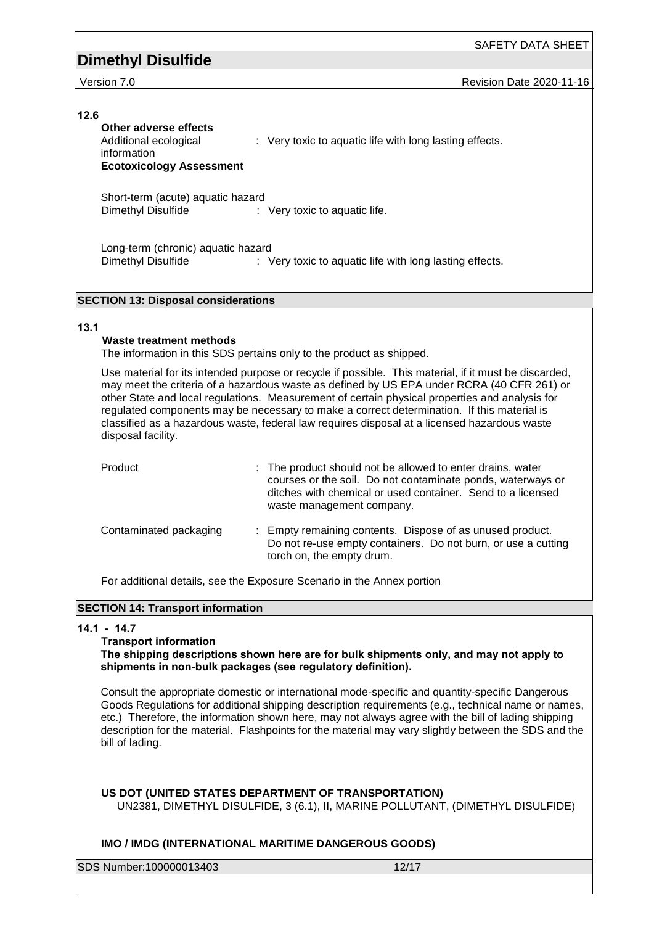SAFETY DATA SHEET

Version 7.0 Revision Date 2020-11-16

### **12.6**

## **Other adverse effects**

Additional ecological information : Very toxic to aquatic life with long lasting effects.

**Ecotoxicology Assessment**

Short-term (acute) aquatic hazard<br>Dimethyl Disulfide : : Very toxic to aquatic life.

Long-term (chronic) aquatic hazard Dimethyl Disulfide : Very toxic to aquatic life with long lasting effects.

## **SECTION 13: Disposal considerations**

## **13.1**

## **Waste treatment methods**

The information in this SDS pertains only to the product as shipped.

Use material for its intended purpose or recycle if possible. This material, if it must be discarded, may meet the criteria of a hazardous waste as defined by US EPA under RCRA (40 CFR 261) or other State and local regulations. Measurement of certain physical properties and analysis for regulated components may be necessary to make a correct determination. If this material is classified as a hazardous waste, federal law requires disposal at a licensed hazardous waste disposal facility.

| Product                | : The product should not be allowed to enter drains, water<br>courses or the soil. Do not contaminate ponds, waterways or<br>ditches with chemical or used container. Send to a licensed<br>waste management company. |
|------------------------|-----------------------------------------------------------------------------------------------------------------------------------------------------------------------------------------------------------------------|
| Contaminated packaging | : Empty remaining contents. Dispose of as unused product.<br>Do not re-use empty containers. Do not burn, or use a cutting<br>torch on, the empty drum.                                                               |

For additional details, see the Exposure Scenario in the Annex portion

## **SECTION 14: Transport information**

## **14.1 - 14.7**

## **Transport information**

**The shipping descriptions shown here are for bulk shipments only, and may not apply to shipments in non-bulk packages (see regulatory definition).**

Consult the appropriate domestic or international mode-specific and quantity-specific Dangerous Goods Regulations for additional shipping description requirements (e.g., technical name or names, etc.) Therefore, the information shown here, may not always agree with the bill of lading shipping description for the material. Flashpoints for the material may vary slightly between the SDS and the bill of lading.

### **US DOT (UNITED STATES DEPARTMENT OF TRANSPORTATION)**

UN2381, DIMETHYL DISULFIDE, 3 (6.1), II, MARINE POLLUTANT, (DIMETHYL DISULFIDE)

## **IMO / IMDG (INTERNATIONAL MARITIME DANGEROUS GOODS)**

SDS Number:100000013403 12/17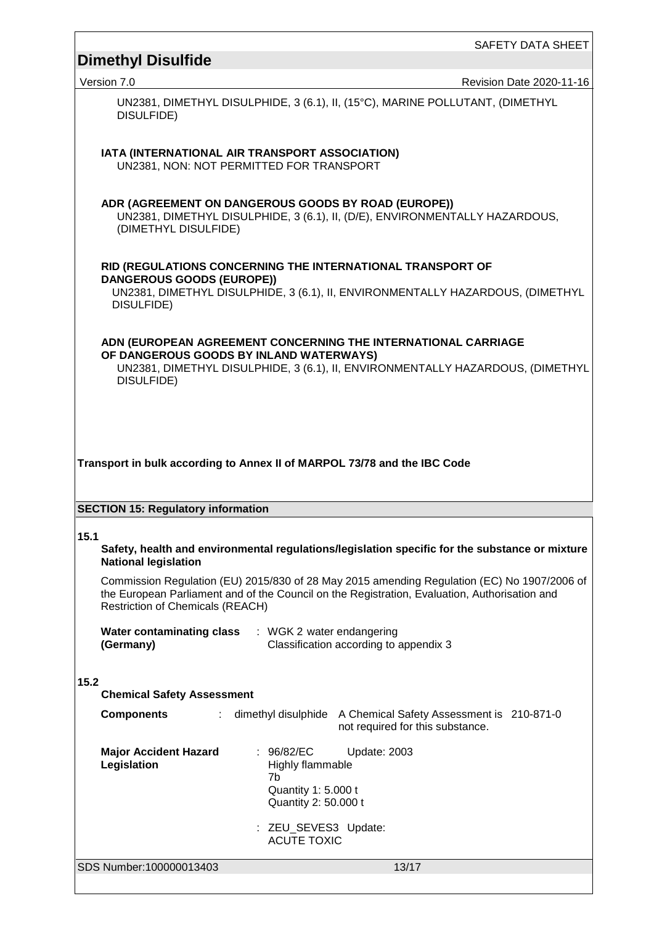SAFETY DATA SHEET

## **Dimethyl Disulfide**

Version 7.0 **CONFIDENTIAL CONTRACT CONTRACT CONTRACT CONTRACT CONTRACT CONTRACT CONTRACT CONTRACT CONTRACT CONTRACT CONTRACT CONTRACT CONTRACT CONTRACT CONTRACT CONTRACT CONTRACT CONTRACT CONTRACT CONTRACT CONTRACT CONTRAC** 

UN2381, DIMETHYL DISULPHIDE, 3 (6.1), II, (15°C), MARINE POLLUTANT, (DIMETHYL DISULFIDE)

**IATA (INTERNATIONAL AIR TRANSPORT ASSOCIATION)** UN2381, NON: NOT PERMITTED FOR TRANSPORT

#### **ADR (AGREEMENT ON DANGEROUS GOODS BY ROAD (EUROPE))**

UN2381, DIMETHYL DISULPHIDE, 3 (6.1), II, (D/E), ENVIRONMENTALLY HAZARDOUS, (DIMETHYL DISULFIDE)

#### **RID (REGULATIONS CONCERNING THE INTERNATIONAL TRANSPORT OF DANGEROUS GOODS (EUROPE))**

UN2381, DIMETHYL DISULPHIDE, 3 (6.1), II, ENVIRONMENTALLY HAZARDOUS, (DIMETHYL DISULFIDE)

**ADN (EUROPEAN AGREEMENT CONCERNING THE INTERNATIONAL CARRIAGE OF DANGEROUS GOODS BY INLAND WATERWAYS)**

UN2381, DIMETHYL DISULPHIDE, 3 (6.1), II, ENVIRONMENTALLY HAZARDOUS, (DIMETHYL DISULFIDE)

### **Transport in bulk according to Annex II of MARPOL 73/78 and the IBC Code**

#### **SECTION 15: Regulatory information**

#### **15.1**

**Safety, health and environmental regulations/legislation specific for the substance or mixture National legislation**

Commission Regulation (EU) 2015/830 of 28 May 2015 amending Regulation (EC) No 1907/2006 of the European Parliament and of the Council on the Registration, Evaluation, Authorisation and Restriction of Chemicals (REACH)

| Water contaminating class | WGK 2 water endangering                |
|---------------------------|----------------------------------------|
| (Germany)                 | Classification according to appendix 3 |

#### **15.2**

**Chemical Safety Assessment**

| <b>Components</b>                           |                                                                                                                                   | dimethyl disulphide A Chemical Safety Assessment is 210-871-0<br>not required for this substance. |  |
|---------------------------------------------|-----------------------------------------------------------------------------------------------------------------------------------|---------------------------------------------------------------------------------------------------|--|
| <b>Major Accident Hazard</b><br>Legislation | : 96/82/EC<br>Highly flammable<br>7b<br>Quantity 1: 5.000 t<br>Quantity 2: 50.000 t<br>: ZEU_SEVES3 Update:<br><b>ACUTE TOXIC</b> | Update: 2003                                                                                      |  |
| SDS Number:100000013403                     |                                                                                                                                   | 13/17                                                                                             |  |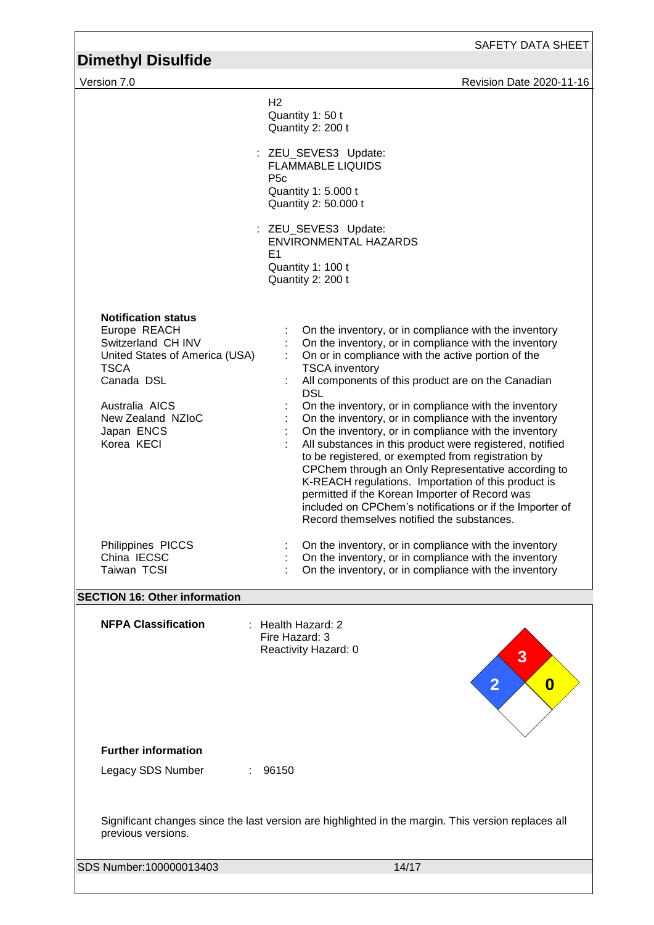Version 7.0 **CONFIDENTIAL CONTRACT CONTRACT CONTRACT CONTRACT CONTRACT CONTRACT CONTRACT CONTRACT CONTRACT CONTRACT CONTRACT CONTRACT CONTRACT CONTRACT CONTRACT CONTRACT CONTRACT CONTRACT CONTRACT CONTRACT CONTRACT CONTRAC**  $H<sub>2</sub>$ Quantity 1: 50 t Quantity 2: 200 t : ZEU SEVES3 Update: FLAMMABLE LIQUIDS P5c Quantity 1: 5.000 t Quantity 2: 50.000 t : ZEU SEVES3 Update: ENVIRONMENTAL HAZARDS E1 Quantity 1: 100 t Quantity 2: 200 t **Notification status** Europe REACH : On the inventory, or in compliance with the inventory<br>Switzerland CH INV : On the inventory, or in compliance with the inventory : On the inventory, or in compliance with the inventory<br>: On or in compliance with the active portion of the United States of America (USA) TSCA<br>Canada DSL : On or in compliance with the active portion of the TSCA inventory : All components of this product are on the Canadian DSL Australia AICS : On the inventory, or in compliance with the inventory<br>New Zealand NZIoC : On the inventory, or in compliance with the inventory New Zealand NZIoC : On the inventory, or in compliance with the inventory<br>Japan ENCS : On the inventory, or in compliance with the inventory  $\therefore$  On the inventory, or in compliance with the inventory Korea KECI **interpretent in the State Corea** : All substances in this product were registered, notified to be registered, or exempted from registration by CPChem through an Only Representative according to K-REACH regulations. Importation of this product is permitted if the Korean Importer of Record was included on CPChem's notifications or if the Importer of Record themselves notified the substances. Philippines PICCS : On the inventory, or in compliance with the inventory China IECSC **in the inventory**, or in compliance with the inventory Taiwan TCSI **Interpretatally** : On the inventory, or in compliance with the inventory **SECTION 16: Other information NFPA Classification** : Health Hazard: 2 Fire Hazard: 3 Reactivity Hazard: 0 **Further information 0 3 2**

Legacy SDS Number : 96150

Significant changes since the last version are highlighted in the margin. This version replaces all previous versions.

SDS Number:100000013403 14/17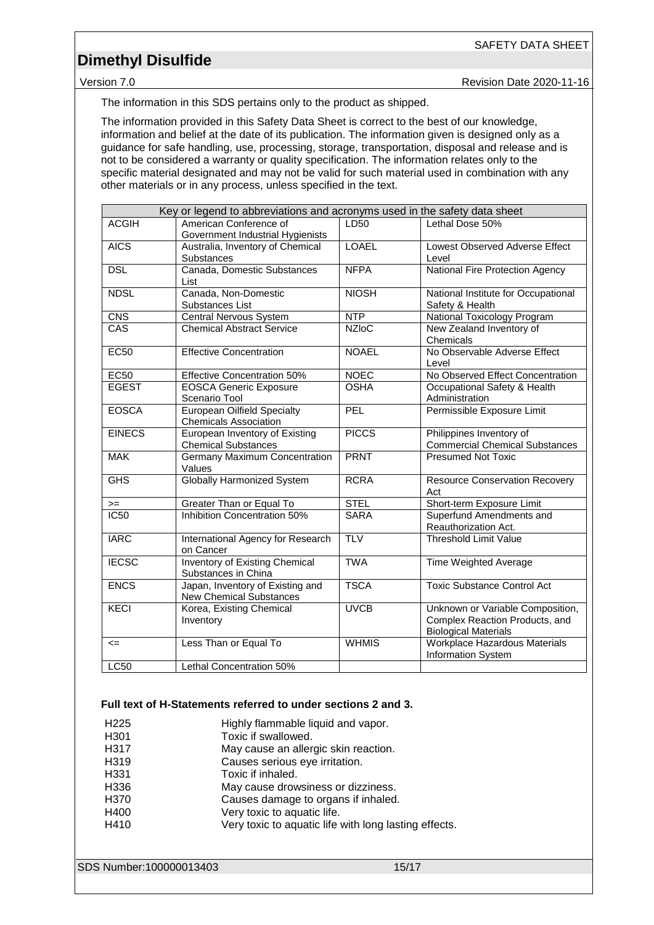Version 7.0 **CONFIDENTIAL CONTRACT CONTRACT CONTRACT CONTRACT CONTRACT CONTRACT CONTRACT CONTRACT CONTRACT CONTRACT CONTRACT CONTRACT CONTRACT CONTRACT CONTRACT CONTRACT CONTRACT CONTRACT CONTRACT CONTRACT CONTRACT CONTRAC** 

The information in this SDS pertains only to the product as shipped.

The information provided in this Safety Data Sheet is correct to the best of our knowledge, information and belief at the date of its publication. The information given is designed only as a guidance for safe handling, use, processing, storage, transportation, disposal and release and is not to be considered a warranty or quality specification. The information relates only to the specific material designated and may not be valid for such material used in combination with any other materials or in any process, unless specified in the text.

|               | Key or legend to abbreviations and acronyms used in the safety data sheet |              |                                                                                                   |
|---------------|---------------------------------------------------------------------------|--------------|---------------------------------------------------------------------------------------------------|
| <b>ACGIH</b>  | American Conference of<br>Government Industrial Hygienists                | LD50         | Lethal Dose 50%                                                                                   |
| <b>AICS</b>   | Australia, Inventory of Chemical<br>Substances                            | <b>LOAEL</b> | Lowest Observed Adverse Effect<br>Level                                                           |
| <b>DSL</b>    | Canada, Domestic Substances<br>List                                       | <b>NFPA</b>  | National Fire Protection Agency                                                                   |
| <b>NDSL</b>   | Canada, Non-Domestic<br>Substances List                                   | <b>NIOSH</b> | National Institute for Occupational<br>Safety & Health                                            |
| CNS           | <b>Central Nervous System</b>                                             | NTP          | National Toxicology Program                                                                       |
| CAS           | <b>Chemical Abstract Service</b>                                          | <b>NZIoC</b> | New Zealand Inventory of<br>Chemicals                                                             |
| <b>EC50</b>   | <b>Effective Concentration</b>                                            | <b>NOAEL</b> | No Observable Adverse Effect<br>Level                                                             |
| <b>EC50</b>   | <b>Effective Concentration 50%</b>                                        | <b>NOEC</b>  | No Observed Effect Concentration                                                                  |
| <b>EGEST</b>  | <b>EOSCA Generic Exposure</b><br>Scenario Tool                            | <b>OSHA</b>  | Occupational Safety & Health<br>Administration                                                    |
| <b>EOSCA</b>  | <b>European Oilfield Specialty</b><br><b>Chemicals Association</b>        | PEL          | Permissible Exposure Limit                                                                        |
| <b>EINECS</b> | European Inventory of Existing<br><b>Chemical Substances</b>              | <b>PICCS</b> | Philippines Inventory of<br><b>Commercial Chemical Substances</b>                                 |
| <b>MAK</b>    | Germany Maximum Concentration<br>Values                                   | <b>PRNT</b>  | <b>Presumed Not Toxic</b>                                                                         |
| <b>GHS</b>    | <b>Globally Harmonized System</b>                                         | <b>RCRA</b>  | <b>Resource Conservation Recovery</b><br>Act                                                      |
| $>=$          | Greater Than or Equal To                                                  | <b>STEL</b>  | Short-term Exposure Limit                                                                         |
| IC50          | <b>Inhibition Concentration 50%</b>                                       | <b>SARA</b>  | Superfund Amendments and<br>Reauthorization Act.                                                  |
| <b>IARC</b>   | International Agency for Research<br>on Cancer                            | <b>TLV</b>   | <b>Threshold Limit Value</b>                                                                      |
| <b>IECSC</b>  | Inventory of Existing Chemical<br>Substances in China                     | <b>TWA</b>   | <b>Time Weighted Average</b>                                                                      |
| <b>ENCS</b>   | Japan, Inventory of Existing and<br><b>New Chemical Substances</b>        | <b>TSCA</b>  | <b>Toxic Substance Control Act</b>                                                                |
| <b>KECI</b>   | Korea, Existing Chemical<br>Inventory                                     | <b>UVCB</b>  | Unknown or Variable Composition,<br>Complex Reaction Products, and<br><b>Biological Materials</b> |
| $\leq$        | Less Than or Equal To                                                     | <b>WHMIS</b> | Workplace Hazardous Materials<br>Information System                                               |
| <b>LC50</b>   | Lethal Concentration 50%                                                  |              |                                                                                                   |

### **Full text of H-Statements referred to under sections 2 and 3.**

| H <sub>225</sub> | Highly flammable liquid and vapor.                    |
|------------------|-------------------------------------------------------|
| H301             | Toxic if swallowed.                                   |
| H317             | May cause an allergic skin reaction.                  |
| H319             | Causes serious eye irritation.                        |
| H331             | Toxic if inhaled.                                     |
| H336             | May cause drowsiness or dizziness.                    |
| H370             | Causes damage to organs if inhaled.                   |
| H400             | Very toxic to aquatic life.                           |
| H410             | Very toxic to aquatic life with long lasting effects. |

SDS Number:100000013403 15/17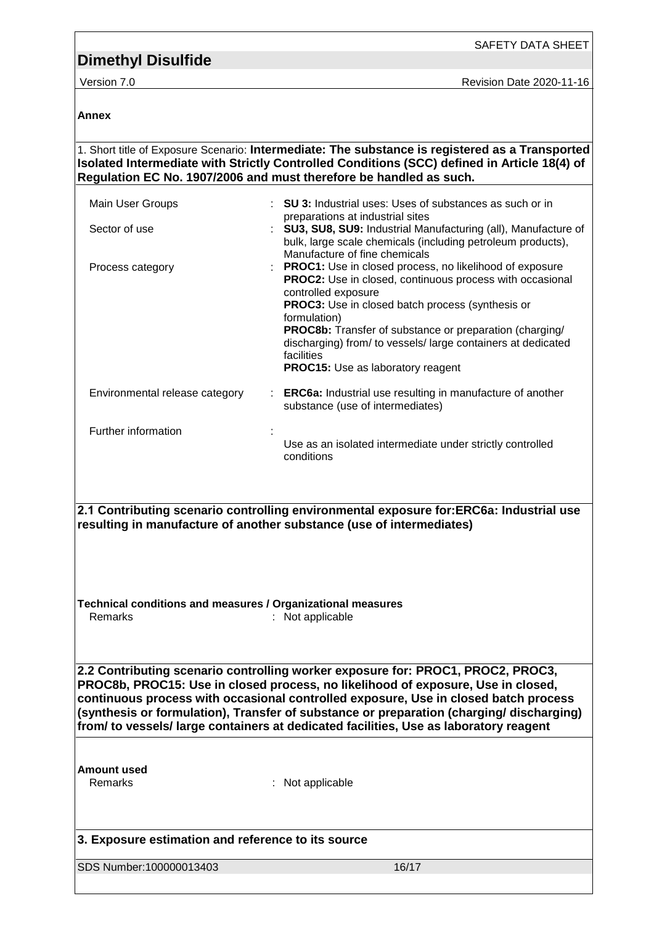**Annex**

SDS Number:100000013403 16/17 1. Short title of Exposure Scenario: **Intermediate: The substance is registered as a Transported Isolated Intermediate with Strictly Controlled Conditions (SCC) defined in Article 18(4) of Regulation EC No. 1907/2006 and must therefore be handled as such.** Main User Groups : **SU 3:** Industrial uses: Uses of substances as such or in preparations at industrial sites Sector of use **: SU3, SU8, SU9:** Industrial Manufacturing (all), Manufacture of bulk, large scale chemicals (including petroleum products), Manufacture of fine chemicals Process category **Exercise : PROC1:** Use in closed process, no likelihood of exposure **PROC2:** Use in closed, continuous process with occasional controlled exposure **PROC3:** Use in closed batch process (synthesis or formulation) **PROC8b:** Transfer of substance or preparation (charging/ discharging) from/ to vessels/ large containers at dedicated facilities **PROC15:** Use as laboratory reagent Environmental release category : **ERC6a:** Industrial use resulting in manufacture of another substance (use of intermediates) Further information : Use as an isolated intermediate under strictly controlled conditions **2.1 Contributing scenario controlling environmental exposure for:ERC6a: Industrial use resulting in manufacture of another substance (use of intermediates) Technical conditions and measures / Organizational measures** Remarks : Not applicable **2.2 Contributing scenario controlling worker exposure for: PROC1, PROC2, PROC3, PROC8b, PROC15: Use in closed process, no likelihood of exposure, Use in closed, continuous process with occasional controlled exposure, Use in closed batch process (synthesis or formulation), Transfer of substance or preparation (charging/ discharging) from/ to vessels/ large containers at dedicated facilities, Use as laboratory reagent Amount used** Remarks : Not applicable **3. Exposure estimation and reference to its source**